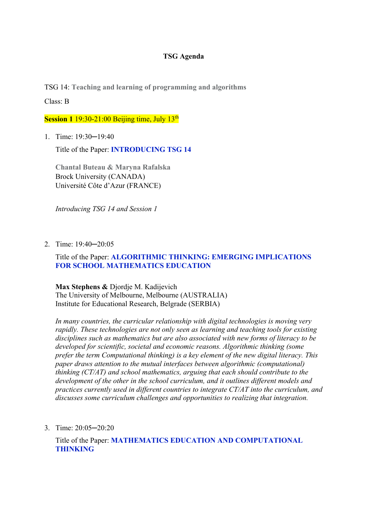# **TSG Agenda**

TSG 14: **Teaching and learning of programming and algorithms**

Class: B

**Session 1** 19:30-21:00 Beijing time, July 13<sup>th</sup>

1. Time: 19:30─19:40

Title of the Paper: **INTRODUCING TSG 14**

**Chantal Buteau & Maryna Rafalska**  Brock University (CANADA) Université Côte d'Azur (FRANCE)

*Introducing TSG 14 and Session 1*

2. Time: 19:40─20:05

# Title of the Paper: **ALGORITHMIC THINKING: EMERGING IMPLICATIONS FOR SCHOOL MATHEMATICS EDUCATION**

**Max Stephens &** Djordje M. Kadijevich The University of Melbourne, Melbourne (AUSTRALIA) Institute for Educational Research, Belgrade (SERBIA)

*In many countries, the curricular relationship with digital technologies is moving very rapidly. These technologies are not only seen as learning and teaching tools for existing disciplines such as mathematics but are also associated with new forms of literacy to be developed for scientific, societal and economic reasons. Algorithmic thinking (some prefer the term Computational thinking) is a key element of the new digital literacy. This paper draws attention to the mutual interfaces between algorithmic (computational) thinking (CT/AT) and school mathematics, arguing that each should contribute to the development of the other in the school curriculum, and it outlines different models and practices currently used in different countries to integrate CT/AT into the curriculum, and discusses some curriculum challenges and opportunities to realizing that integration.* 

3. Time: 20:05─20:20

Title of the Paper: **MATHEMATICS EDUCATION AND COMPUTATIONAL THINKING**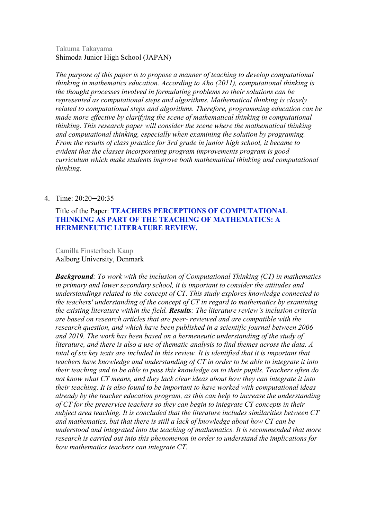# Takuma Takayama Shimoda Junior High School (JAPAN)

*The purpose of this paper is to propose a manner of teaching to develop computational thinking in mathematics education. According to Aho (2011), computational thinking is the thought processes involved in formulating problems so their solutions can be represented as computational steps and algorithms. Mathematical thinking is closely related to computational steps and algorithms. Therefore, programming education can be made more effective by clarifying the scene of mathematical thinking in computational thinking. This research paper will consider the scene where the mathematical thinking and computational thinking, especially when examining the solution by programing. From the results of class practice for 3rd grade in junior high school, it became to evident that the classes incorporating program improvements program is good curriculum which make students improve both mathematical thinking and computational thinking.* 

# 4. Time: 20:20─20:35

# Title of the Paper: **TEACHERS PERCEPTIONS OF COMPUTATIONAL THINKING AS PART OF THE TEACHING OF MATHEMATICS: A HERMENEUTIC LITERATURE REVIEW.**

Camilla Finsterbach Kaup Aalborg University, Denmark

*Background: To work with the inclusion of Computational Thinking (CT) in mathematics in primary and lower secondary school, it is important to consider the attitudes and understandings related to the concept of CT. This study explores knowledge connected to the teachers' understanding of the concept of CT in regard to mathematics by examining the existing literature within the field. Results: The literature review's inclusion criteria are based on research articles that are peer- reviewed and are compatible with the research question, and which have been published in a scientific journal between 2006 and 2019. The work has been based on a hermeneutic understanding of the study of literature, and there is also a use of thematic analysis to find themes across the data. A total of six key texts are included in this review. It is identified that it is important that teachers have knowledge and understanding of CT in order to be able to integrate it into their teaching and to be able to pass this knowledge on to their pupils. Teachers often do not know what CT means, and they lack clear ideas about how they can integrate it into their teaching. It is also found to be important to have worked with computational ideas already by the teacher education program, as this can help to increase the understanding of CT for the preservice teachers so they can begin to integrate CT concepts in their subject area teaching. It is concluded that the literature includes similarities between CT and mathematics, but that there is still a lack of knowledge about how CT can be understood and integrated into the teaching of mathematics. It is recommended that more research is carried out into this phenomenon in order to understand the implications for how mathematics teachers can integrate CT.*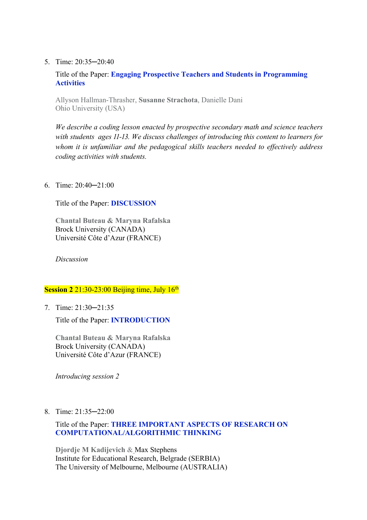5. Time: 20:35─20:40

Title of the Paper: **Engaging Prospective Teachers and Students in Programming Activities**

Allyson Hallman-Thrasher, **Susanne Strachota**, Danielle Dani Ohio University (USA)

*We describe a coding lesson enacted by prospective secondary math and science teachers*  with students ages 11-13. We discuss challenges of introducing this content to learners for *whom it is unfamiliar and the pedagogical skills teachers needed to effectively address coding activities with students.*

6. Time: 20:40─21:00

Title of the Paper: **DISCUSSION**

**Chantal Buteau & Maryna Rafalska**  Brock University (CANADA) Université Côte d'Azur (FRANCE)

*Discussion*

## **Session 2** 21:30-23:00 Beijing time, July 16<sup>th</sup>

7. Time: 21:30─21:35

Title of the Paper: **INTRODUCTION**

**Chantal Buteau & Maryna Rafalska**  Brock University (CANADA) Université Côte d'Azur (FRANCE)

*Introducing session 2*

8. Time: 21:35─22:00

# Title of the Paper: **THREE IMPORTANT ASPECTS OF RESEARCH ON COMPUTATIONAL/ALGORITHMIC THINKING**

**Djordje M Kadijevich** & Max Stephens Institute for Educational Research, Belgrade (SERBIA) The University of Melbourne, Melbourne (AUSTRALIA)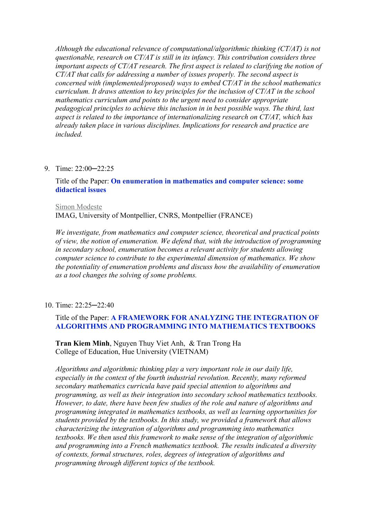*Although the educational relevance of computational/algorithmic thinking (CT/AT) is not questionable, research on CT/AT is still in its infancy. This contribution considers three important aspects of CT/AT research. The first aspect is related to clarifying the notion of CT/AT that calls for addressing a number of issues properly. The second aspect is concerned with (implemented/proposed) ways to embed CT/AT in the school mathematics curriculum. It draws attention to key principles for the inclusion of CT/AT in the school mathematics curriculum and points to the urgent need to consider appropriate pedagogical principles to achieve this inclusion in in best possible ways. The third, last aspect is related to the importance of internationalizing research on CT/AT, which has already taken place in various disciplines. Implications for research and practice are included.* 

### 9. Time: 22:00-22:25

## Title of the Paper: **On enumeration in mathematics and computer science: some didactical issues**

#### Simon Modeste

IMAG, University of Montpellier, CNRS, Montpellier (FRANCE)

*We investigate, from mathematics and computer science, theoretical and practical points of view, the notion of enumeration. We defend that, with the introduction of programming in secondary school, enumeration becomes a relevant activity for students allowing computer science to contribute to the experimental dimension of mathematics. We show the potentiality of enumeration problems and discuss how the availability of enumeration as a tool changes the solving of some problems.* 

#### 10. Time: 22:25─22:40

# Title of the Paper: **A FRAMEWORK FOR ANALYZING THE INTEGRATION OF ALGORITHMS AND PROGRAMMING INTO MATHEMATICS TEXTBOOKS**

**Tran Kiem Minh**, Nguyen Thuy Viet Anh, & Tran Trong Ha College of Education, Hue University (VIETNAM)

*Algorithms and algorithmic thinking play a very important role in our daily life, especially in the context of the fourth industrial revolution. Recently, many reformed secondary mathematics curricula have paid special attention to algorithms and programming, as well as their integration into secondary school mathematics textbooks. However, to date, there have been few studies of the role and nature of algorithms and programming integrated in mathematics textbooks, as well as learning opportunities for students provided by the textbooks. In this study, we provided a framework that allows characterizing the integration of algorithms and programming into mathematics textbooks. We then used this framework to make sense of the integration of algorithmic and programming into a French mathematics textbook. The results indicated a diversity of contexts, formal structures, roles, degrees of integration of algorithms and programming through different topics of the textbook.*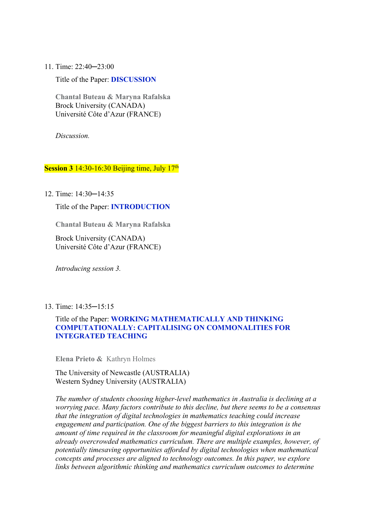11. Time: 22:40─23:00

Title of the Paper: **DISCUSSION**

**Chantal Buteau & Maryna Rafalska**  Brock University (CANADA) Université Côte d'Azur (FRANCE)

*Discussion.*

### **Session 3** 14:30-16:30 Beijing time, July 17<sup>th</sup>

12. Time: 14:30─14:35

Title of the Paper: **INTRODUCTION**

**Chantal Buteau & Maryna Rafalska** 

Brock University (CANADA) Université Côte d'Azur (FRANCE)

*Introducing session 3.*

#### 13. Time: 14:35─15:15

# Title of the Paper: **WORKING MATHEMATICALLY AND THINKING COMPUTATIONALLY: CAPITALISING ON COMMONALITIES FOR INTEGRATED TEACHING**

**Elena Prieto &** Kathryn Holmes

The University of Newcastle (AUSTRALIA) Western Sydney University (AUSTRALIA)

*The number of students choosing higher-level mathematics in Australia is declining at a worrying pace. Many factors contribute to this decline, but there seems to be a consensus that the integration of digital technologies in mathematics teaching could increase engagement and participation. One of the biggest barriers to this integration is the amount of time required in the classroom for meaningful digital explorations in an already overcrowded mathematics curriculum. There are multiple examples, however, of potentially timesaving opportunities afforded by digital technologies when mathematical concepts and processes are aligned to technology outcomes. In this paper, we explore links between algorithmic thinking and mathematics curriculum outcomes to determine*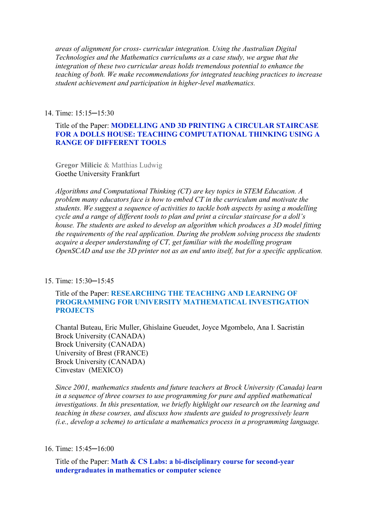*areas of alignment for cross- curricular integration. Using the Australian Digital Technologies and the Mathematics curriculums as a case study, we argue that the integration of these two curricular areas holds tremendous potential to enhance the teaching of both. We make recommendations for integrated teaching practices to increase student achievement and participation in higher-level mathematics.* 

## 14. Time: 15:15─15:30

# Title of the Paper: **MODELLING AND 3D PRINTING A CIRCULAR STAIRCASE FOR A DOLLS HOUSE: TEACHING COMPUTATIONAL THINKING USING A RANGE OF DIFFERENT TOOLS**

**Gregor Milicic** & Matthias Ludwig Goethe University Frankfurt

*Algorithms and Computational Thinking (CT) are key topics in STEM Education. A problem many educators face is how to embed CT in the curriculum and motivate the students. We suggest a sequence of activities to tackle both aspects by using a modelling cycle and a range of different tools to plan and print a circular staircase for a doll's house. The students are asked to develop an algorithm which produces a 3D model fitting the requirements of the real application. During the problem solving process the students acquire a deeper understanding of CT, get familiar with the modelling program OpenSCAD and use the 3D printer not as an end unto itself, but for a specific application.* 

### 15. Time: 15:30─15:45

## Title of the Paper: **RESEARCHING THE TEACHING AND LEARNING OF PROGRAMMING FOR UNIVERSITY MATHEMATICAL INVESTIGATION PROJECTS**

Chantal Buteau, Eric Muller, Ghislaine Gueudet, Joyce Mgombelo, Ana I. Sacristán Brock University (CANADA) Brock University (CANADA) University of Brest (FRANCE) Brock University (CANADA) Cinvestav (MEXICO)

*Since 2001, mathematics students and future teachers at Brock University (Canada) learn in a sequence of three courses to use programming for pure and applied mathematical investigations. In this presentation, we briefly highlight our research on the learning and teaching in these courses, and discuss how students are guided to progressively learn (i.e., develop a scheme) to articulate a mathematics process in a programming language.* 

### 16. Time: 15:45─16:00

Title of the Paper: **Math & CS Labs: a bi-disciplinary course for second-year undergraduates in mathematics or computer science**